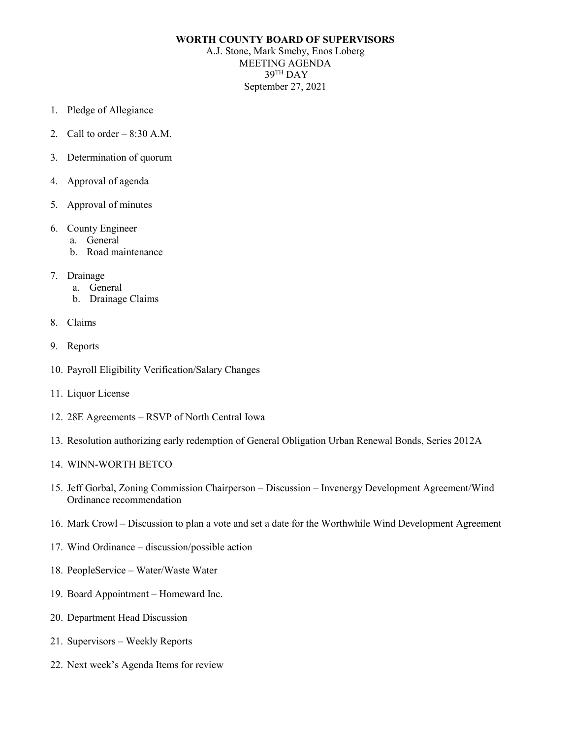## **WORTH COUNTY BOARD OF SUPERVISORS**

A.J. Stone, Mark Smeby, Enos Loberg MEETING AGENDA 39TH DAY September 27, 2021

- 1. Pledge of Allegiance
- 2. Call to order  $-8:30$  A.M.
- 3. Determination of quorum
- 4. Approval of agenda
- 5. Approval of minutes
- 6. County Engineer
	- a. General
	- b. Road maintenance
- 7. Drainage
	- a. General
	- b. Drainage Claims
- 8. Claims
- 9. Reports
- 10. Payroll Eligibility Verification/Salary Changes
- 11. Liquor License
- 12. 28E Agreements RSVP of North Central Iowa
- 13. Resolution authorizing early redemption of General Obligation Urban Renewal Bonds, Series 2012A
- 14. WINN-WORTH BETCO
- 15. Jeff Gorbal, Zoning Commission Chairperson Discussion Invenergy Development Agreement/Wind Ordinance recommendation
- 16. Mark Crowl Discussion to plan a vote and set a date for the Worthwhile Wind Development Agreement
- 17. Wind Ordinance discussion/possible action
- 18. PeopleService Water/Waste Water
- 19. Board Appointment Homeward Inc.
- 20. Department Head Discussion
- 21. Supervisors Weekly Reports
- 22. Next week's Agenda Items for review